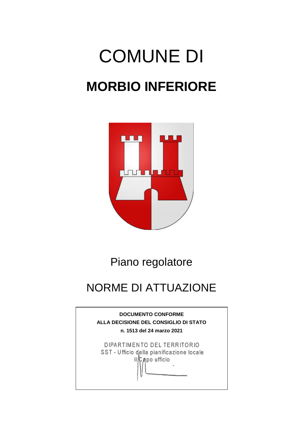# COMUNE DI **MORBIO INFERIORE**



# Piano regolatore

# NORME DI ATTUAZIONE

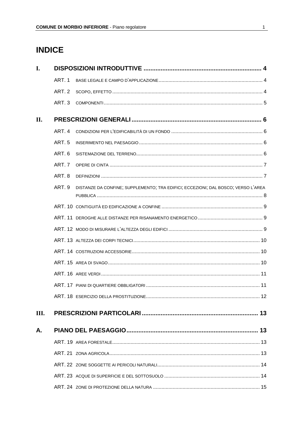# **INDICE**

| I.   |               |                                                                                   |  |
|------|---------------|-----------------------------------------------------------------------------------|--|
|      | ART. 1        |                                                                                   |  |
|      | ART. 2        |                                                                                   |  |
|      | ART. 3        |                                                                                   |  |
| II.  |               |                                                                                   |  |
|      | ART. 4        |                                                                                   |  |
|      | <b>ART.5</b>  |                                                                                   |  |
|      | <b>ART. 6</b> |                                                                                   |  |
|      | ART. 7        |                                                                                   |  |
|      | ART. 8        |                                                                                   |  |
|      | ART. 9        | DISTANZE DA CONFINE; SUPPLEMENTO; TRA EDIFICI; ECCEZIONI; DAL BOSCO; VERSO L'AREA |  |
|      |               |                                                                                   |  |
|      |               |                                                                                   |  |
|      |               |                                                                                   |  |
|      |               |                                                                                   |  |
|      |               |                                                                                   |  |
|      |               |                                                                                   |  |
|      |               |                                                                                   |  |
|      |               |                                                                                   |  |
|      |               |                                                                                   |  |
| III. |               |                                                                                   |  |
| А.   |               |                                                                                   |  |
|      |               |                                                                                   |  |
|      |               |                                                                                   |  |
|      |               |                                                                                   |  |
|      |               |                                                                                   |  |
|      |               |                                                                                   |  |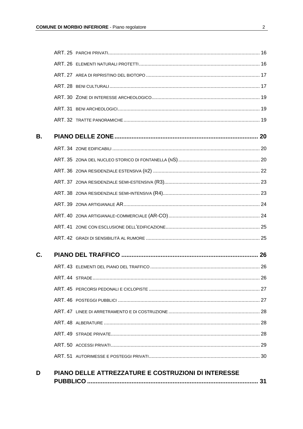| В. |  |  |
|----|--|--|
|    |  |  |
|    |  |  |
|    |  |  |
|    |  |  |
|    |  |  |
|    |  |  |
|    |  |  |
|    |  |  |
|    |  |  |
| C. |  |  |
|    |  |  |
|    |  |  |
|    |  |  |
|    |  |  |
|    |  |  |
|    |  |  |
|    |  |  |
|    |  |  |
|    |  |  |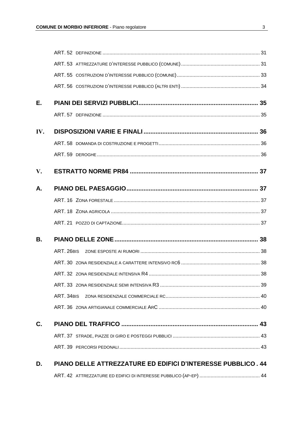| Е.  |                                                              |  |
|-----|--------------------------------------------------------------|--|
|     |                                                              |  |
| IV. |                                                              |  |
|     |                                                              |  |
|     |                                                              |  |
| V.  |                                                              |  |
| А.  |                                                              |  |
|     |                                                              |  |
|     |                                                              |  |
|     |                                                              |  |
| В.  |                                                              |  |
|     | ART. 26BIS                                                   |  |
|     |                                                              |  |
|     |                                                              |  |
|     |                                                              |  |
|     |                                                              |  |
|     |                                                              |  |
| C.  |                                                              |  |
|     |                                                              |  |
|     |                                                              |  |
| D.  | PIANO DELLE ATTREZZATURE ED EDIFICI D'INTERESSE PUBBLICO. 44 |  |
|     |                                                              |  |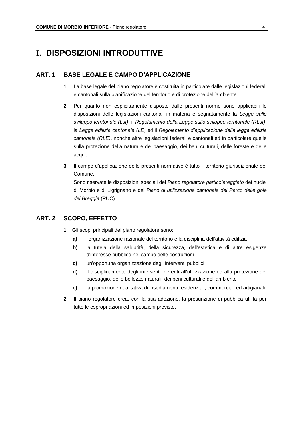# **I. DISPOSIZIONI INTRODUTTIVE**

#### **ART. 1 BASE LEGALE E CAMPO D'APPLICAZIONE**

- **1.** La base legale del piano regolatore è costituita in particolare dalle legislazioni federali e cantonali sulla pianificazione del territorio e di protezione dell'ambiente.
- **2.** Per quanto non esplicitamente disposto dalle presenti norme sono applicabili le disposizioni delle legislazioni cantonali in materia e segnatamente la *Legge sullo sviluppo territoriale (Lst)*, il *Regolamento della Legge sullo sviluppo territoriale (RLst)*, la *Legge edilizia cantonale (LE)* ed il *Regolamento d'applicazione della legge edilizia cantonale (RLE)*, nonché altre legislazioni federali e cantonali ed in particolare quelle sulla protezione della natura e del paesaggio, dei beni culturali, delle foreste e delle acque.
- **3.** Il campo d'applicazione delle presenti normative è tutto il territorio giurisdizionale del Comune.

Sono riservate le disposizioni speciali del *Piano regolatore particolareggiato* dei nuclei di Morbio e di Ligrignano e del *Piano di utilizzazione cantonale del Parco delle gole del Breggia* (PUC).

#### **ART. 2 SCOPO, EFFETTO**

- **1.** Gli scopi principali del piano regolatore sono:
	- **a)** l'organizzazione razionale del territorio e la disciplina dell'attività edilizia
	- **b)** la tutela della salubrità, della sicurezza, dell'estetica e di altre esigenze d'interesse pubblico nel campo delle costruzioni
	- **c)** un'opportuna organizzazione degli interventi pubblici
	- **d)** il disciplinamento degli interventi inerenti all'utilizzazione ed alla protezione del paesaggio, delle bellezze naturali, dei beni culturali e dell'ambiente
	- **e)** la promozione qualitativa di insediamenti residenziali, commerciali ed artigianali.
- **2.** Il piano regolatore crea, con la sua adozione, la presunzione di pubblica utilità per tutte le espropriazioni ed imposizioni previste.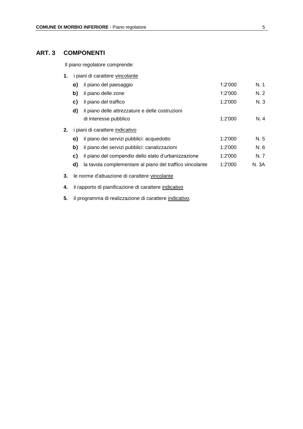# **ART. 3 COMPONENTI**

Il piano regolatore comprende:

| 1. | i piani di carattere vincolante                       |                                                          |         |       |
|----|-------------------------------------------------------|----------------------------------------------------------|---------|-------|
|    | a)                                                    | il piano del paesaggio                                   | 1:2'000 | N.1   |
|    | b)                                                    | il piano delle zone                                      | 1:2'000 | N.2   |
|    | C)                                                    | il piano del traffico                                    | 1:2'000 | N.3   |
|    | d)                                                    | il piano delle attrezzature e delle costruzioni          |         |       |
|    |                                                       | di interesse pubblico                                    | 1:2'000 | N. 4  |
| 2. |                                                       | i piani di carattere indicativo                          |         |       |
|    | a)                                                    | il piano dei servizi pubblici: acquedotto                | 1:2'000 | N. 5  |
|    | b)                                                    | il piano dei servizi pubblici: canalizzazioni            | 1:2'000 | N. 6  |
|    | C)                                                    | il piano del compendio dello stato d'urbanizzazione      | 1:2'000 | N. 7  |
|    | d)                                                    | la tavola complementare al piano del traffico vincolante | 1:2'000 | N. 3A |
| 3. |                                                       | le norme d'attuazione di carattere vincolante            |         |       |
| 4. | il rapporto di pianificazione di carattere indicativo |                                                          |         |       |

**5.** il programma di realizzazione di carattere indicativo.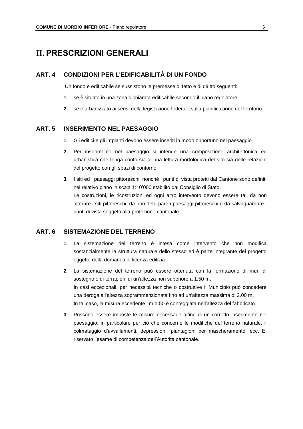# **II. PRESCRIZIONI GENERALI**

#### **ART. 4 CONDIZIONI PER L'EDIFICABILITÀ DI UN FONDO**

Un fondo è edificabile se sussistono le premesse di fatto e di diritto seguenti:

- **1.** se è situato in una zona dichiarata edificabile secondo il piano regolatore
- **2.** se è urbanizzato ai sensi della legislazione federale sulla pianificazione del territorio.

#### **ART. 5 INSERIMENTO NEL PAESAGGIO**

- **1.** Gli edifici e gli impianti devono essere inseriti in modo opportuno nel paesaggio.
- **2.** Per inserimento nel paesaggio si intende una composizione architettonica ed urbanistica che tenga conto sia di una lettura morfologica del sito sia delle relazioni del progetto con gli spazi di contorno.
- **3.** I siti ed i paesaggi pittoreschi, nonché i punti di vista protetti dal Cantone sono definiti nel relativo piano in scala 1:10'000 stabilito dal Consiglio di Stato. Le costruzioni, le ricostruzioni ed ogni altro intervento devono essere tali da non alterare i siti pittoreschi, da non deturpare i paesaggi pittoreschi e da salvaguardare i punti di vista soggetti alla protezione cantonale.

#### **ART. 6 SISTEMAZIONE DEL TERRENO**

- **1.** La sistemazione del terreno è intesa come intervento che non modifica sostanzialmente la struttura naturale dello stesso ed è parte integrante del progetto oggetto della domanda di licenza edilizia.
- **2.** La sistemazione del terreno può essere ottenuta con la formazione di muri di sostegno o di terrapieni di un'altezza non superiore a 1.50 m. In casi eccezionali, per necessità tecniche o costruttive il Municipio può concedere una deroga all'altezza soprammenzionata fino ad un'altezza massima di 2.00 m. In tal caso, la misura eccedente i m 1.50 è conteggiata nell'altezza del fabbricato.
- **3.** Possono essere imposte le misure necessarie alfine di un corretto inserimento nel paesaggio, in particolare per ciò che concerne le modifiche del terreno naturale, il colmataggio d'avvallamenti, depressioni, piantagioni per mascheramento, ecc. E' riservato l'esame di competenza dell'Autorità cantonale.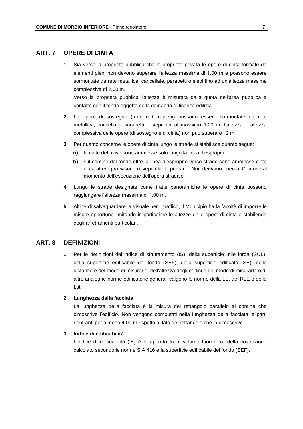#### **ART. 7 OPERE DI CINTA**

**1.** Sia verso la proprietà pubblica che la proprietà privata le opere di cinta formate da elementi pieni non devono superare l'altezza massima di 1.00 m e possono essere sormontate da rete metallica, cancellate, parapetti o siepi fino ad un'altezza massima complessiva di 2.00 m.

Verso la proprietà pubblica l'altezza è misurata dalla quota dell'area pubblica a contatto con il fondo oggetto della domanda di licenza edilizia.

- **2.** Le opere di sostegno (muri e terrapieni) possono essere sormontate da rete metallica, cancellate, parapetti e siepi per al massimo 1.00 m d'altezza. L'altezza complessiva delle opere (di sostegno e di cinta) non può superare i 2 m.
- **3.** Per quanto concerne le opere di cinta lungo le strade si stabilisce quanto segue:
	- **a)** le cinte definitive sono ammesse solo lungo la linea d'esproprio
	- **b)** sul confine del fondo oltre la linea d'esproprio verso strade sono ammesse cinte di carattere provvisorio o siepi a titolo precario. Non derivano oneri al Comune al momento dell'esecuzione dell'opera stradale.
- **4.** Lungo le strade designate come tratte panoramiche le opere di cinta possono raggiungere l'altezza massima di 1.00 m.
- **5.** Alfine di salvaguardare la visuale per il traffico, il Municipio ha la facoltà di imporre le misure opportune limitando in particolare le altezze delle opere di cinta e stabilendo degli arretramenti particolari.

#### **ART. 8 DEFINIZIONI**

**1.** Per le definizioni dell'indice di sfruttamento (IS), della superficie utile lorda (SUL), della superficie edificabile del fondo (SEF), della superficie edificata (SE), delle distanze e del modo di misurarle, dell'altezza degli edifici e del modo di misurarla o di altre analoghe norme edificatorie generali valgono le norme della LE, del RLE e della Lst.

#### **2. Lunghezza della facciata**

La lunghezza della facciata è la misura del rettangolo parallelo al confine che circoscrive l'edificio. Non vengono computati nella lunghezza della facciata le parti rientranti per almeno 4.00 m rispetto al lato del rettangolo che la circoscrive.

#### **3. Indice di edificabilità**

L'indice di edificabilità (IE) è il rapporto fra il volume fuori terra della costruzione calcolato secondo le norme SIA 416 e la superficie edificabile del fondo (SEF).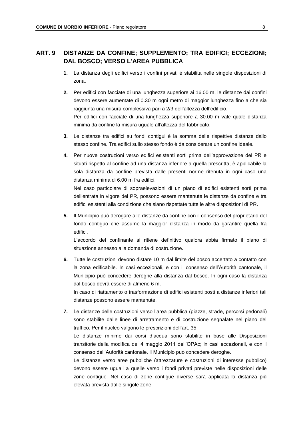# **ART. 9 DISTANZE DA CONFINE; SUPPLEMENTO; TRA EDIFICI; ECCEZIONI; DAL BOSCO; VERSO L'AREA PUBBLICA**

- **1.** La distanza degli edifici verso i confini privati è stabilita nelle singole disposizioni di zona.
- **2.** Per edifici con facciate di una lunghezza superiore ai 16.00 m, le distanze dai confini devono essere aumentate di 0.30 m ogni metro di maggior lunghezza fino a che sia raggiunta una misura complessiva pari a 2/3 dell'altezza dell'edificio. Per edifici con facciate di una lunghezza superiore a 30.00 m vale quale distanza minima da confine la misura uguale all'altezza del fabbricato.
- **3.** Le distanze tra edifici su fondi contigui è la somma delle rispettive distanze dallo stesso confine. Tra edifici sullo stesso fondo è da considerare un confine ideale.
- **4.** Per nuove costruzioni verso edifici esistenti sorti prima dell'approvazione del PR e situati rispetto al confine ad una distanza inferiore a quella prescritta, è applicabile la sola distanza da confine prevista dalle presenti norme ritenuta in ogni caso una distanza minima di 6.00 m fra edifici. Nel caso particolare di sopraelevazioni di un piano di edifici esistenti sorti prima

dell'entrata in vigore del PR, possono essere mantenute le distanze da confine e tra edifici esistenti alla condizione che siano rispettate tutte le altre disposizioni di PR.

**5.** Il Municipio può derogare alle distanze da confine con il consenso del proprietario del fondo contiguo che assume la maggior distanza in modo da garantire quella fra edifici.

L'accordo del confinante si ritiene definitivo qualora abbia firmato il piano di situazione annesso alla domanda di costruzione.

**6.** Tutte le costruzioni devono distare 10 m dal limite del bosco accertato a contatto con la zona edificabile. In casi eccezionali, e con il consenso dell'Autorità cantonale, il Municipio può concedere deroghe alla distanza dal bosco. In ogni caso la distanza dal bosco dovrà essere di almeno 6 m. In caso di riattamento o trasformazione di edifici esistenti posti a distanze inferiori tali

distanze possono essere mantenute.

**7.** Le distanze delle costruzioni verso l'area pubblica (piazze, strade, percorsi pedonali) sono stabilite dalle linee di arretramento e di costruzione segnalate nel piano del traffico. Per il nucleo valgono le prescrizioni dell'art. 35.

Le distanze minime dai corsi d'acqua sono stabilite in base alle Disposizioni transitorie della modifica del 4 maggio 2011 dell'OPAc; in casi eccezionali, e con il consenso dell'Autorità cantonale, il Municipio può concedere deroghe.

Le distanze verso aree pubbliche (attrezzature e costruzioni di interesse pubblico) devono essere uguali a quelle verso i fondi privati previste nelle disposizioni delle zone contigue. Nel caso di zone contigue diverse sarà applicata la distanza più elevata prevista dalle singole zone.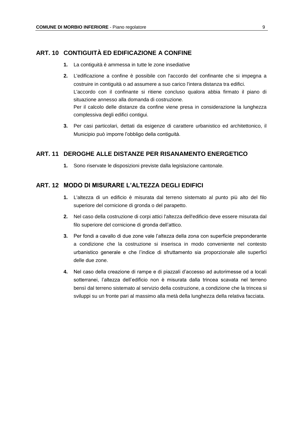#### **ART. 10 CONTIGUITÀ ED EDIFICAZIONE A CONFINE**

- **1.** La contiguità è ammessa in tutte le zone insediative
- **2.** L'edificazione a confine è possibile con l'accordo del confinante che si impegna a costruire in contiguità o ad assumere a suo carico l'intera distanza tra edifici. L'accordo con il confinante si ritiene concluso qualora abbia firmato il piano di situazione annesso alla domanda di costruzione. Per il calcolo delle distanze da confine viene presa in considerazione la lunghezza complessiva degli edifici contigui.
- **3.** Per casi particolari, dettati da esigenze di carattere urbanistico ed architettonico, il Municipio può imporre l'obbligo della contiguità.

#### **ART. 11 DEROGHE ALLE DISTANZE PER RISANAMENTO ENERGETICO**

**1.** Sono riservate le disposizioni previste dalla legislazione cantonale.

#### **ART. 12 MODO DI MISURARE L'ALTEZZA DEGLI EDIFICI**

- **1.** L'altezza di un edificio è misurata dal terreno sistemato al punto più alto del filo superiore del cornicione di gronda o del parapetto.
- **2.** Nel caso della costruzione di corpi attici l'altezza dell'edificio deve essere misurata dal filo superiore del cornicione di gronda dell'attico.
- **3.** Per fondi a cavallo di due zone vale l'altezza della zona con superficie preponderante a condizione che la costruzione si inserisca in modo conveniente nel contesto urbanistico generale e che l'indice di sfruttamento sia proporzionale alle superfici delle due zone.
- **4.** Nel caso della creazione di rampe e di piazzali d'accesso ad autorimesse od a locali sotterranei, l'altezza dell'edificio non è misurata dalla trincea scavata nel terreno bensì dal terreno sistemato al servizio della costruzione, a condizione che la trincea si sviluppi su un fronte pari al massimo alla metà della lunghezza della relativa facciata.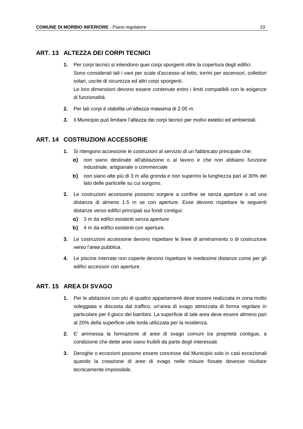#### **ART. 13 ALTEZZA DEI CORPI TECNICI**

- **1.** Per corpi tecnici si intendono quei corpi sporgenti oltre la copertura degli edifici. Sono considerati tali i vani per scale d'accesso al tetto, torrini per ascensori, collettori solari, uscite di sicurezza ed altri corpi sporgenti. Le loro dimensioni devono essere contenute entro i limiti compatibili con le esigenze di funzionalità.
- **2.** Per tali corpi è stabilita un'altezza massima di 2.00 m.
- **3.** Il Municipio può limitare l'altezza dei corpi tecnici per motivi estetici ed ambientali.

#### **ART. 14 COSTRUZIONI ACCESSORIE**

- **1.** Si ritengono accessorie le costruzioni al servizio di un fabbricato principale che:
	- **a)** non siano destinate all'abitazione o al lavoro e che non abbiano funzione industriale, artigianale o commerciale
	- **b)** non siano alte più di 3 m alla gronda e non superino la lunghezza pari al 30% del lato delle particelle su cui sorgono.
- **2.** Le costruzioni accessorie possono sorgere a confine se senza aperture o ad una distanza di almeno 1.5 m se con aperture. Esse devono rispettare le seguenti distanze verso edifici principali sui fondi contigui:
	- **a)** 3 m da edifici esistenti senza aperture
	- **b)** 4 m da edifici esistenti con aperture.
- **3.** Le costruzioni accessorie devono rispettare le linee di arretramento o di costruzione verso l'area pubblica.
- **4.** Le piscine interrate non coperte devono rispettare le medesime distanze come per gli edifici accessori con aperture.

#### **ART. 15 AREA DI SVAGO**

- **1.** Per le abitazioni con più di quattro appartamenti deve essere realizzata in zona molto soleggiata e discosta dal traffico, un'area di svago attrezzata di forma regolare in particolare per il gioco dei bambini. La superficie di tale area deve essere almeno pari al 20% della superficie utile lorda utilizzata per la residenza.
- **2.** E' ammessa la formazione di aree di svago comuni tra proprietà contigue, a condizione che dette aree siano fruibili da parte degli interessati.
- **3.** Deroghe o eccezioni possono essere concesse dal Municipio solo in casi eccezionali quando la creazione di aree di svago nelle misure fissate dovesse risultare tecnicamente impossibile.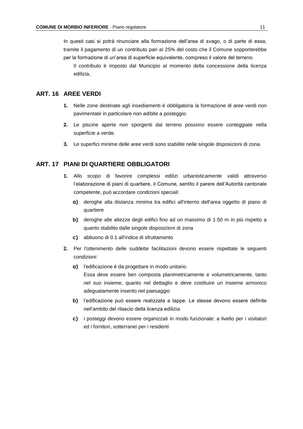In questi casi si potrà rinunciare alla formazione dell'area di svago, o di parte di essa, tramite il pagamento di un contributo pari al 25% del costo che il Comune sopporterebbe per la formazione di un'area di superficie equivalente, compreso il valore del terreno.

Il contributo è imposto dal Municipio al momento della concessione della licenza edilizia,

# **ART. 16 AREE VERDI**

- **1.** Nelle zone destinate agli insediamenti è obbligatoria la formazione di aree verdi non pavimentate in particolare non adibite a posteggio.
- **2.** Le piscine aperte non sporgenti dal terreno possono essere conteggiate nella superficie a verde.
- **3.** Le superfici minime delle aree verdi sono stabilite nelle singole disposizioni di zona.

#### **ART. 17 PIANI DI QUARTIERE OBBLIGATORI**

- **1.** Allo scopo di favorire complessi edilizi urbanisticamente validi attraverso l'elaborazione di piani di quartiere, il Comune, sentito il parere dell'Autorità cantonale competente, può accordare condizioni speciali:
	- **a)** deroghe alla distanza minima tra edifici all'interno dell'area oggetto di piano di quartiere
	- **b)** deroghe alle altezze degli edifici fino ad un massimo di 1.50 m in più rispetto a quanto stabilito dalle singole disposizioni di zona
	- **c)** abbuono di 0.1 all'indice di sfruttamento
- **2.** Per l'ottenimento delle suddette facilitazioni devono essere rispettate le seguenti condizioni:
	- **a)** l'edificazione è da progettare in modo unitario. Essa deve essere ben composta planimetricamente e volumetricamente, tanto nel suo insieme, quanto nel dettaglio e deve costituire un insieme armonico adeguatamente inserito nel paesaggio
	- **b)** l'edificazione può essere realizzata a tappe. Le stesse devono essere definite nell'ambito del rilascio della licenza edilizia.
	- **c)** i posteggi devono essere organizzati in modo funzionale: a livello per i visitatori ed i fornitori, sotterranei per i residenti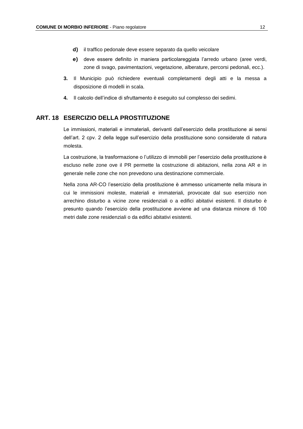- **d)** il traffico pedonale deve essere separato da quello veicolare
- **e)** deve essere definito in maniera particolareggiata l'arredo urbano (aree verdi, zone di svago, pavimentazioni, vegetazione, alberature, percorsi pedonali, ecc.).
- **3.** Il Municipio può richiedere eventuali completamenti degli atti e la messa a disposizione di modelli in scala.
- **4.** Il calcolo dell'indice di sfruttamento è eseguito sul complesso dei sedimi.

#### **ART. 18 ESERCIZIO DELLA PROSTITUZIONE**

Le immissioni, materiali e immateriali, derivanti dall'esercizio della prostituzione ai sensi dell'art. 2 cpv. 2 della legge sull'esercizio della prostituzione sono considerate di natura molesta.

La costruzione, la trasformazione o l'utilizzo di immobili per l'esercizio della prostituzione è escluso nelle zone ove il PR permette la costruzione di abitazioni, nella zona AR e in generale nelle zone che non prevedono una destinazione commerciale.

Nella zona AR-CO l'esercizio della prostituzione è ammesso unicamente nella misura in cui le immissioni moleste, materiali e immateriali, provocate dal suo esercizio non arrechino disturbo a vicine zone residenziali o a edifici abitativi esistenti. Il disturbo è presunto quando l'esercizio della prostituzione avviene ad una distanza minore di 100 metri dalle zone residenziali o da edifici abitativi esistenti.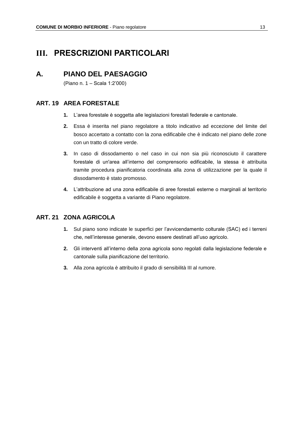# **III. PRESCRIZIONI PARTICOLARI**

# **A. PIANO DEL PAESAGGIO**

(Piano n. 1 – Scala 1:2'000)

#### **ART. 19 AREA FORESTALE**

- **1.** L'area forestale è soggetta alle legislazioni forestali federale e cantonale.
- **2.** Essa è inserita nel piano regolatore a titolo indicativo ad eccezione del limite del bosco accertato a contatto con la zona edificabile che è indicato nel piano delle zone con un tratto di colore verde.
- **3.** In caso di dissodamento o nel caso in cui non sia più riconosciuto il carattere forestale di un'area all'interno del comprensorio edificabile, la stessa è attribuita tramite procedura pianificatoria coordinata alla zona di utilizzazione per la quale il dissodamento è stato promosso.
- **4.** L'attribuzione ad una zona edificabile di aree forestali esterne o marginali al territorio edificabile è soggetta a variante di Piano regolatore.

#### **ART. 21 ZONA AGRICOLA**

- **1.** Sul piano sono indicate le superfici per l'avvicendamento colturale (SAC) ed i terreni che, nell'interesse generale, devono essere destinati all'uso agricolo.
- **2.** Gli interventi all'interno della zona agricola sono regolati dalla legislazione federale e cantonale sulla pianificazione del territorio.
- **3.** Alla zona agricola è attribuito il grado di sensibilità III al rumore.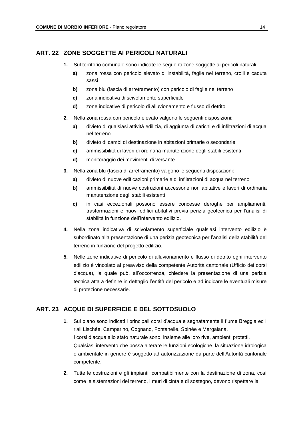#### **ART. 22 ZONE SOGGETTE AI PERICOLI NATURALI**

- **1.** Sul territorio comunale sono indicate le seguenti zone soggette ai pericoli naturali:
	- **a)** zona rossa con pericolo elevato di instabilità, faglie nel terreno, crolli e caduta sassi
	- **b)** zona blu (fascia di arretramento) con pericolo di faglie nel terreno
	- **c)** zona indicativa di scivolamento superficiale
	- **d)** zone indicative di pericolo di alluvionamento e flusso di detrito
- **2.** Nella zona rossa con pericolo elevato valgono le seguenti disposizioni:
	- **a)** divieto di qualsiasi attività edilizia, di aggiunta di carichi e di infiltrazioni di acqua nel terreno
	- **b)** divieto di cambi di destinazione in abitazioni primarie o secondarie
	- **c)** ammissibilità di lavori di ordinaria manutenzione degli stabili esistenti
	- **d)** monitoraggio dei movimenti di versante
- **3.** Nella zona blu (fascia di arretramento) valgono le seguenti disposizioni:
	- **a)** divieto di nuove edificazioni primarie e di infiltrazioni di acqua nel terreno
	- **b)** ammissibilità di nuove costruzioni accessorie non abitative e lavori di ordinaria manutenzione degli stabili esistenti
	- **c)** in casi eccezionali possono essere concesse deroghe per ampliamenti, trasformazioni e nuovi edifici abitativi previa perizia geotecnica per l'analisi di stabilità in funzione dell'intervento edilizio.
- **4.** Nella zona indicativa di scivolamento superficiale qualsiasi intervento edilizio è subordinato alla presentazione di una perizia geotecnica per l'analisi della stabilità del terreno in funzione del progetto edilizio.
- **5.** Nelle zone indicative di pericolo di alluvionamento e flusso di detrito ogni intervento edilizio è vincolato al preavviso della competente Autorità cantonale (Ufficio dei corsi d'acqua), la quale può, all'occorrenza, chiedere la presentazione di una perizia tecnica atta a definire in dettaglio l'entità del pericolo e ad indicare le eventuali misure di protezione necessarie.

#### **ART. 23 ACQUE DI SUPERFICIE E DEL SOTTOSUOLO**

- **1.** Sul piano sono indicati i principali corsi d'acqua e segnatamente il fiume Breggia ed i riali Lischée, Camparino, Cognano, Fontanelle, Spinée e Margaiana. I corsi d'acqua allo stato naturale sono, insieme alle loro rive, ambienti protetti. Qualsiasi intervento che possa alterare le funzioni ecologiche, la situazione idrologica o ambientale in genere è soggetto ad autorizzazione da parte dell'Autorità cantonale competente.
- **2.** Tutte le costruzioni e gli impianti, compatibilmente con la destinazione di zona, così come le sistemazioni del terreno, i muri di cinta e di sostegno, devono rispettare la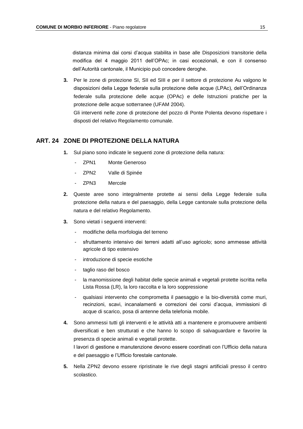distanza minima dai corsi d'acqua stabilita in base alle Disposizioni transitorie della modifica del 4 maggio 2011 dell'OPAc; in casi eccezionali, e con il consenso dell'Autorità cantonale, il Municipio può concedere deroghe.

**3.** Per le zone di protezione SI, SII ed SIII e per il settore di protezione Au valgono le disposizioni della Legge federale sulla protezione delle acque (LPAc), dell'Ordinanza federale sulla protezione delle acque (OPAc) e delle Istruzioni pratiche per la protezione delle acque sotterranee (UFAM 2004).

Gli interventi nelle zone di protezione del pozzo di Ponte Polenta devono rispettare i disposti del relativo Regolamento comunale.

#### **ART. 24 ZONE DI PROTEZIONE DELLA NATURA**

- **1.** Sul piano sono indicate le seguenti zone di protezione della natura:
	- ZPN1 Monte Generoso
	- ZPN2 Valle di Spinée
	- ZPN3 Mercole
- **2.** Queste aree sono integralmente protette ai sensi della Legge federale sulla protezione della natura e del paesaggio, della Legge cantonale sulla protezione della natura e del relativo Regolamento.
- **3.** Sono vietati i seguenti interventi:
	- modifiche della morfologia del terreno
	- sfruttamento intensivo dei terreni adatti all'uso agricolo; sono ammesse attività agricole di tipo estensivo
	- introduzione di specie esotiche
	- taglio raso del bosco
	- la manomissione degli habitat delle specie animali e vegetali protette iscritta nella Lista Rossa (LR), la loro raccolta e la loro soppressione
	- qualsiasi intervento che comprometta il paesaggio e la bio-diversità come muri, recinzioni, scavi, incanalamenti e correzioni dei corsi d'acqua, immissioni di acque di scarico, posa di antenne della telefonia mobile.
- **4.** Sono ammessi tutti gli interventi e le attività atti a mantenere e promuovere ambienti diversificati e ben strutturati e che hanno lo scopo di salvaguardare e favorire la presenza di specie animali e vegetali protette. I lavori di gestione e manutenzione devono essere coordinati con l'Ufficio della natura
- e del paesaggio e l'Ufficio forestale cantonale. **5.** Nella ZPN2 devono essere ripristinate le rive degli stagni artificiali presso il centro
- scolastico.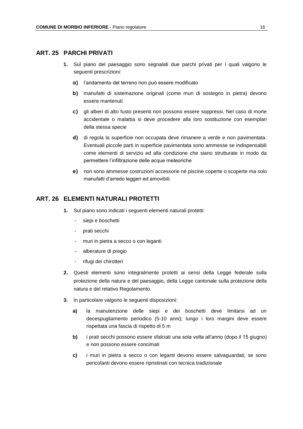#### **ART. 25 PARCHI PRIVATI**

- **1.** Sul piano del paesaggio sono segnalati due parchi privati per i quali valgono le seguenti prescrizioni:
	- **a)** l'andamento del terreno non può essere modificato
	- **b)** manufatti di sistemazione originali (come muri di sostegno in pietra) devono essere mantenuti
	- **c)** gli alberi di alto fusto presenti non possono essere soppressi. Nel caso di morte accidentale o malattia si deve procedere alla loro sostituzione con esemplari della stessa specie
	- **d)** di regola la superficie non occupata deve rimanere a verde e non pavimentata. Eventuali piccole parti in superficie pavimentata sono ammesse se indispensabili come elementi di servizio ed alla condizione che siano strutturate in modo da permettere l'infiltrazione delle acque meteoriche
	- **e)** non sono ammesse costruzioni accessorie né piscine coperte o scoperte ma solo manufatti d'arredo leggeri ed amovibili.

# **ART. 26 ELEMENTI NATURALI PROTETTI**

- **1.** Sul piano sono indicati i seguenti elementi naturali protetti:
	- siepi e boschetti
	- prati secchi
	- muri in pietra a secco o con leganti
	- alberature di pregio
	- rifugi dei chirotteri
- **2.** Questi elementi sono integralmente protetti ai sensi della Legge federale sulla protezione della natura e del paesaggio, della Legge cantonale sulla protezione della natura e del relativo Regolamento.
- **3.** In particolare valgono le seguenti disposizioni:
	- **a)** la manutenzione delle siepi e dei boschetti deve limitarsi ad un decespugliamento periodico (5-10 anni); lungo i loro margini deve essere rispettata una fascia di rispetto di 5 m
	- **b)** i prati secchi possono essere sfalciati una sola volta all'anno (dopo il 15 giugno) e non possono essere concimati
	- **c)** i muri in pietra a secco o con leganti devono essere salvaguardati; se sono pericolanti devono essere ripristinati con tecnica tradizionale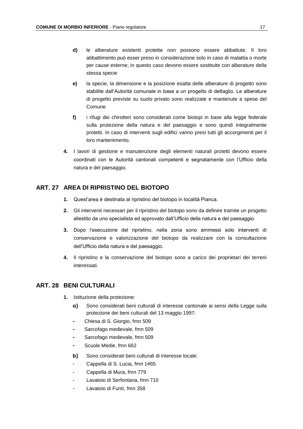- **d)** le alberature esistenti protette non possono essere abbattute. Il loro abbattimento può esser preso in considerazione solo in caso di malattia o morte per cause esterne; in questo caso devono essere sostituite con alberature della stessa specie
- **e)** la specie, la dimensione e la posizione esatta delle alberature di progetto sono stabilite dall'Autorità comunale in base a un progetto di dettaglio. Le alberature di progetto previste su suolo privato sono realizzate e mantenute a spese del Comune
- **f)** i rifugi dei chirotteri sono considerati come biotopi in base alla legge federale sulla protezione della natura e del paesaggio e sono quindi integralmente protetti. In caso di interventi sugli edifici vanno presi tutti gli accorgimenti per il loro mantenimento.
- **4.** I lavori di gestione e manutenzione degli elementi naturali protetti devono essere coordinati con le Autorità cantonali competenti e segnatamente con l'Ufficio della natura e del paesaggio.

#### **ART. 27 AREA DI RIPRISTINO DEL BIOTOPO**

- **1.** Quest'area è destinata al ripristino del biotopo in località Pianca.
- **2.** Gli interventi necessari per il ripristino del biotopo sono da definire tramite un progetto allestito da uno specialista ed approvato dall'Ufficio della natura e del paesaggio.
- **3.** Dopo l'esecuzione del ripristino, nella zona sono ammessi solo interventi di conservazione e valorizzazione del biotopo da realizzare con la consultazione dell'Ufficio della natura e del paesaggio.
- **4.** Il ripristino e la conservazione del biotopo sono a carico dei proprietari dei terreni interessati.

#### **ART. 28 BENI CULTURALI**

- **1.** Istituzione della protezione:
	- **a)** Sono considerati beni culturali di interesse cantonale ai sensi della Legge sulla protezione dei beni culturali del 13 maggio 1997:
	- **-** Chiesa di S. Giorgio, fmn 509
	- **-** Sarcofago medievale, fmn 509
	- **-** Sarcofago medievale, fmn 509
	- **-** Scuole Medie, fmn 662
	- **b)** Sono considerati beni culturali di interesse locale:
	- Cappella di S. Lucia, fmn 1465
	- Cappella di Mura, fmn 779
	- Lavatoio di Serfontana, fmn 710
	- Lavatoio di Funtì, fmn 358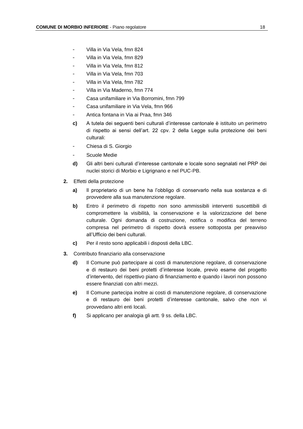- Villa in Via Vela, fmn 824
- Villa in Via Vela, fmn 829
- Villa in Via Vela, fmn 812
- Villa in Via Vela, fmn 703
- Villa in Via Vela, fmn 782
- Villa in Via Maderno, fmn 774
- Casa unifamiliare in Via Borromini, fmn 799
- Casa unifamiliare in Via Vela, fmn 966
- Antica fontana in Via ai Praa, fmn 346
- **c)** A tutela dei seguenti beni culturali d'interesse cantonale è istituito un perimetro di rispetto ai sensi dell'art. 22 cpv. 2 della Legge sulla protezione dei beni culturali:
- Chiesa di S. Giorgio
- Scuole Medie
- **d)** Gli altri beni culturali d'interesse cantonale e locale sono segnalati nel PRP dei nuclei storici di Morbio e Ligrignano e nel PUC-PB.
- **2.** Effetti della protezione
	- **a)** Il proprietario di un bene ha l'obbligo di conservarlo nella sua sostanza e di provvedere alla sua manutenzione regolare.
	- **b)** Entro il perimetro di rispetto non sono ammissibili interventi suscettibili di compromettere la visibilità, la conservazione e la valorizzazione del bene culturale. Ogni domanda di costruzione, notifica o modifica del terreno compresa nel perimetro di rispetto dovrà essere sottoposta per preavviso all'Ufficio dei beni culturali.
	- **c)** Per il resto sono applicabili i disposti della LBC.
- **3.** Contributo finanziario alla conservazione
	- **d)** Il Comune può partecipare ai costi di manutenzione regolare, di conservazione e di restauro dei beni protetti d'interesse locale, previo esame del progetto d'intervento, del rispettivo piano di finanziamento e quando i lavori non possono essere finanziati con altri mezzi.
	- **e)** Il Comune partecipa inoltre ai costi di manutenzione regolare, di conservazione e di restauro dei beni protetti d'interesse cantonale, salvo che non vi provvedano altri enti locali.
	- **f)** Si applicano per analogia gli artt. 9 ss. della LBC.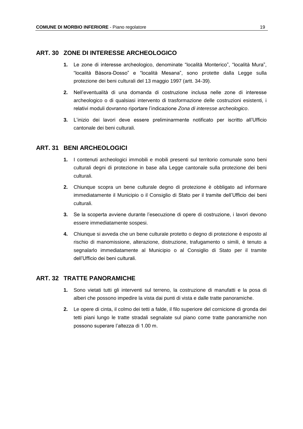#### **ART. 30 ZONE DI INTERESSE ARCHEOLOGICO**

- **1.** Le zone di interesse archeologico, denominate "località Monterico", "località Mura", "località Bàsora-Dosso" e "località Mesana", sono protette dalla Legge sulla protezione dei beni culturali del 13 maggio 1997 (artt. 34-39).
- **2.** Nell'eventualità di una domanda di costruzione inclusa nelle zone di interesse archeologico o di qualsiasi intervento di trasformazione delle costruzioni esistenti, i relativi moduli dovranno riportare l'indicazione *Zona di interesse archeologico*.
- **3.** L'inizio dei lavori deve essere preliminarmente notificato per iscritto all'Ufficio cantonale dei beni culturali.

#### **ART. 31 BENI ARCHEOLOGICI**

- **1.** I contenuti archeologici immobili e mobili presenti sul territorio comunale sono beni culturali degni di protezione in base alla Legge cantonale sulla protezione dei beni culturali.
- **2.** Chiunque scopra un bene culturale degno di protezione è obbligato ad informare immediatamente il Municipio o il Consiglio di Stato per il tramite dell'Ufficio dei beni culturali.
- **3.** Se la scoperta avviene durante l'esecuzione di opere di costruzione, i lavori devono essere immediatamente sospesi.
- **4.** Chiunque si avveda che un bene culturale protetto o degno di protezione è esposto al rischio di manomissione, alterazione, distruzione, trafugamento o simili, è tenuto a segnalarlo immediatamente al Municipio o al Consiglio di Stato per il tramite dell'Ufficio dei beni culturali.

#### **ART. 32 TRATTE PANORAMICHE**

- **1.** Sono vietati tutti gli interventi sul terreno, la costruzione di manufatti e la posa di alberi che possono impedire la vista dai punti di vista e dalle tratte panoramiche.
- **2.** Le opere di cinta, il colmo dei tetti a falde, il filo superiore del cornicione di gronda dei tetti piani lungo le tratte stradali segnalate sul piano come tratte panoramiche non possono superare l'altezza di 1.00 m.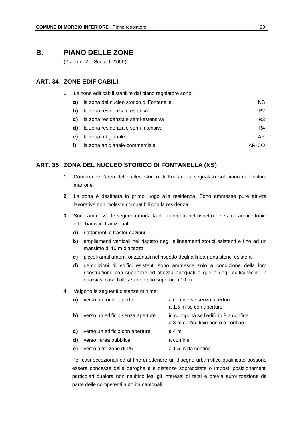# **B. PIANO DELLE ZONE**

(Piano n. 2 – Scala 1:2'000)

#### **ART. 34 ZONE EDIFICABILI**

**1.** Le zone edificabili stabilite dal piano regolatore sono:

| a) | la zona del nucleo storico di Fontanella | NS.            |
|----|------------------------------------------|----------------|
| b) | la zona residenziale estensiva           | R <sub>2</sub> |
| C) | la zona residenziale semi-estensiva      | R3             |
| d) | la zona residenziale semi-intensiva      | R4             |
| e) | la zona artigianale                      | AR             |
|    | la zona artigianale-commerciale          | AR-CO          |

#### **ART. 35 ZONA DEL NUCLEO STORICO DI FONTANELLA (NS)**

- **1.** Comprende l'area del nucleo storico di Fontanella segnalato sul piano con colore marrone.
- **2.** La zona è destinata in primo luogo alla residenza. Sono ammesse pure attività lavorative non moleste compatibili con la residenza.
- **3.** Sono ammesse le seguenti modalità di intervento nel rispetto dei valori architettonici ed urbanistici tradizionali:
	- **a)** riattamenti e trasformazioni
	- **b)** ampliamenti verticali nel rispetto degli allineamenti storici esistenti e fino ad un massimo di 10 m d'altezza
	- **c)** piccoli ampliamenti orizzontali nel rispetto degli allineamenti storici esistenti
	- **d)** demolizioni di edifici esistenti sono ammesse solo a condizione della loro ricostruzione con superficie ed altezza adeguati a quelle degli edifici vicini: In qualsiasi caso l'altezza non può superare i 10 m

#### **4.** Valgono le seguenti distanze minime:

| a) | verso un fondo aperto            | a confine se senza aperture                                                    |
|----|----------------------------------|--------------------------------------------------------------------------------|
|    |                                  | a 1.5 m se con aperture                                                        |
| b) | verso un edificio senza aperture | in contiguità se l'edificio è a confine<br>a 3 m se l'edificio non è a confine |
| C) | verso un edificio con aperture   | a 4 m                                                                          |
| d) | verso l'area pubblica            | a confine                                                                      |
| e) | verso altre zone di PR           | a 1.5 m da confine                                                             |
|    |                                  |                                                                                |

Per casi eccezionali ed al fine di ottenere un disegno urbanistico qualificato possono essere concesse delle deroghe alle distanze sopraccitate o imposti posizionamenti particolari qualora non risultino lesi gli interessi di terzi e previa autorizzazione da parte delle competenti autorità cantonali.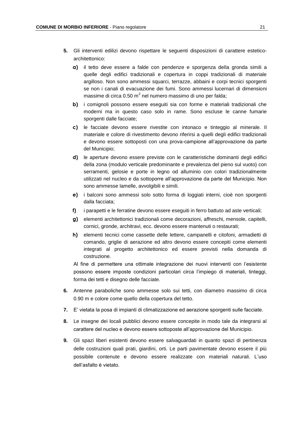- **5.** Gli interventi edilizi devono rispettare le seguenti disposizioni di carattere esteticoarchitettonico:
	- **a)** il tetto deve essere a falde con pendenze e sporgenza della gronda simili a quelle degli edifici tradizionali e copertura in coppi tradizionali di materiale argilloso. Non sono ammessi squarci, terrazze, abbaini e corpi tecnici sporgenti se non i canali di evacuazione dei fumi. Sono ammessi lucernari di dimensioni massime di circa 0.50 m $^2$  nel numero massimo di uno per falda;
	- **b)** i comignoli possono essere eseguiti sia con forme e materiali tradizionali che moderni ma in questo caso solo in rame. Sono escluse le canne fumarie sporgenti dalle facciate;
	- **c)** le facciate devono essere rivestite con intonaco e tinteggio al minerale. Il materiale e colore di rivestimento devono riferirsi a quelli degli edifici tradizionali e devono essere sottoposti con una prova-campione all'approvazione da parte del Municipio;
	- **d)** le aperture devono essere previste con le caratteristiche dominanti degli edifici della zona (modulo verticale predominante e prevalenza del pieno sul vuoto) con serramenti, gelosie e porte in legno od alluminio con colori tradizionalmente utilizzati nel nucleo e da sottoporre all'approvazione da parte del Municipio. Non sono ammesse lamelle, avvolgibili e simili.
	- **e)** i balconi sono ammessi solo sotto forma di loggiati interni, cioè non sporgenti dalla facciata;
	- **f)** i parapetti e le ferratine devono essere eseguiti in ferro battuto ad aste verticali;
	- **g)** elementi architettonici tradizionali come decorazioni, affreschi, mensole, capitelli, cornici, gronde, architravi, ecc. devono essere mantenuti o restaurati;
	- **h)** elementi tecnici come cassette delle lettere, campanelli e citofoni, armadietti di comando, griglie di aerazione ed altro devono essere concepiti come elementi integrati al progetto architettonico ed essere previsti nella domanda di costruzione.

Al fine di permettere una ottimale integrazione dei nuovi interventi con l'esistente possono essere imposte condizioni particolari circa l'impiego di materiali, tinteggi, forma dei tetti e disegno delle facciate.

- **6.** Antenne paraboliche sono ammesse solo sui tetti, con diametro massimo di circa 0.90 m e colore come quello della copertura del tetto.
- **7.** E' vietata la posa di impianti di climatizzazione ed aerazione sporgenti sulle facciate.
- **8.** Le insegne dei locali pubblici devono essere concepite in modo tale da integrarsi al carattere del nucleo e devono essere sottoposte all'approvazione del Municipio.
- **9.** Gli spazi liberi esistenti devono essere salvaguardati in quanto spazi di pertinenza delle costruzioni quali prati, giardini, orti. Le parti pavimentate devono essere il più possibile contenute e devono essere realizzate con materiali naturali. L'uso dell'asfalto è vietato.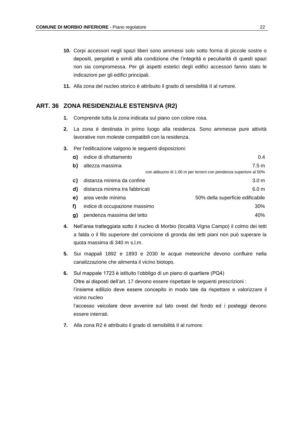- **10.** Corpi accessori negli spazi liberi sono ammessi solo sotto forma di piccole sostre o depositi, pergolati e simili alla condizione che l'integrità e peculiarità di questi spazi non sia compromessa. Per gli aspetti estetici degli edifici accessori fanno stato le indicazioni per gli edifici principali.
- **11.** Alla zona del nucleo storico è attribuito il grado di sensibilità II al rumore.

#### **ART. 36 ZONA RESIDENZIALE ESTENSIVA (R2)**

- **1.** Comprende tutta la zona indicata sul piano con colore rosa.
- **2.** La zona è destinata in primo luogo alla residenza. Sono ammesse pure attività lavorative non moleste compatibili con la residenza.
- **3.** Per l'edificazione valgono le seguenti disposizioni:

| a) | indice di sfruttamento         | 0.4                                                             |
|----|--------------------------------|-----------------------------------------------------------------|
| b) | altezza massima                | 7.5 m                                                           |
|    |                                | con abbuono di 1.00 m per terreni con pendenza superiore al 50% |
| C) | distanza minima da confine     | 3.0 <sub>m</sub>                                                |
| d) | distanza minima tra fabbricati | 6.0 <sub>m</sub>                                                |
| e) | area verde minima              | 50% della superficie edificabile                                |
| f) | indice di occupazione massimo  | 30%                                                             |
| g) | pendenza massima del tetto     | 40%                                                             |
|    |                                |                                                                 |

- **4.** Nell'area tratteggiata sotto il nucleo di Morbio (località Vigna Campo) il colmo dei tetti a falda o il filo superiore del cornicione di gronda dei tetti piani non può superare la quota massima di 340 m s.l.m.
- **5.** Sui mappali 1892 e 1893 e 2030 le acque meteoriche devono confluire nella canalizzazione che alimenta il vicino biotopo.
- **6.** Sul mappale 1723 è istituito l'obbligo di un piano di quartiere (PQ4) Oltre ai disposti dell'art. 17 devono essere rispettate le seguenti prescrizioni : l'insieme edilizio deve essere concepito in modo tale da rispettare e valorizzare il vicino nucleo l'accesso veicolare deve avvenire sul lato ovest del fondo ed i posteggi devono essere interrati.
- **7.** Alla zona R2 è attribuito il grado di sensibilità II al rumore.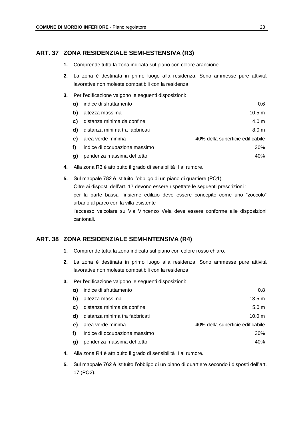#### **ART. 37 ZONA RESIDENZIALE SEMI-ESTENSIVA (R3)**

- **1.** Comprende tutta la zona indicata sul piano con colore arancione.
- **2.** La zona è destinata in primo luogo alla residenza. Sono ammesse pure attività lavorative non moleste compatibili con la residenza.
- **3.** Per l'edificazione valgono le seguenti disposizioni:

| a) | indice di sfruttamento         | 0.6                              |
|----|--------------------------------|----------------------------------|
| b) | altezza massima                | 10.5 <sub>m</sub>                |
| C) | distanza minima da confine     | 4.0 <sub>m</sub>                 |
| d) | distanza minima tra fabbricati | 8.0 <sub>m</sub>                 |
| e) | area verde minima              | 40% della superficie edificabile |
| f) | indice di occupazione massimo  | 30%                              |
| g) | pendenza massima del tetto     | 40%                              |
|    |                                |                                  |

**4.** Alla zona R3 è attribuito il grado di sensibilità II al rumore.

**5.** Sul mappale 782 è istituito l'obbligo di un piano di quartiere (PQ1). Oltre ai disposti dell'art. 17 devono essere rispettate le seguenti prescrizioni : per la parte bassa l'insieme edilizio deve essere concepito come uno "zoccolo" urbano al parco con la villa esistente l'accesso veicolare su Via Vincenzo Vela deve essere conforme alle disposizioni cantonali.

#### **ART. 38 ZONA RESIDENZIALE SEMI-INTENSIVA (R4)**

- **1.** Comprende tutta la zona indicata sul piano con colore rosso chiaro.
- **2.** La zona è destinata in primo luogo alla residenza. Sono ammesse pure attività lavorative non moleste compatibili con la residenza.
- **3.** Per l'edificazione valgono le seguenti disposizioni:

| indice di sfruttamento         | 0.8                              |
|--------------------------------|----------------------------------|
| altezza massima                | $13.5 \text{ m}$                 |
| distanza minima da confine     | 5.0 <sub>m</sub>                 |
| distanza minima tra fabbricati | 10.0 <sub>m</sub>                |
| area verde minima              | 40% della superficie edificabile |
| indice di occupazione massimo  | 30%                              |
| pendenza massima del tetto     | 40%                              |
|                                |                                  |

- **4.** Alla zona R4 è attribuito il grado di sensibilità II al rumore.
- **5.** Sul mappale 762 è istituito l'obbligo di un piano di quartiere secondo i disposti dell'art. 17 (PQ2).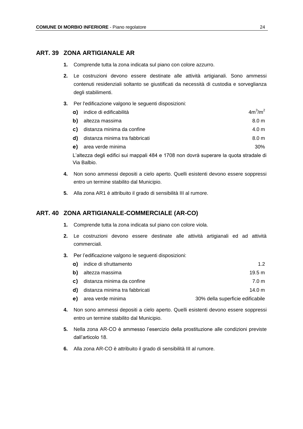#### **ART. 39 ZONA ARTIGIANALE AR**

- **1.** Comprende tutta la zona indicata sul piano con colore azzurro.
- **2.** Le costruzioni devono essere destinate alle attività artigianali. Sono ammessi contenuti residenziali soltanto se giustificati da necessità di custodia e sorveglianza degli stabilimenti.
- **3.** Per l'edificazione valgono le seguenti disposizioni:

| <b>a)</b> indice di edificabilità | $4m^3/m^2$       |
|-----------------------------------|------------------|
| <b>b)</b> altezza massima         | 8.0 <sub>m</sub> |
| c) distanza minima da confine     | 4.0 m            |
| d) distanza minima tra fabbricati | 8.0 <sub>m</sub> |
| e) area verde minima              | 30%              |
|                                   |                  |

L'altezza degli edifici sui mappali 484 e 1708 non dovrà superare la quota stradale di Via Balbio.

- **4.** Non sono ammessi depositi a cielo aperto. Quelli esistenti devono essere soppressi entro un termine stabilito dal Municipio.
- **5.** Alla zona AR1 è attribuito il grado di sensibilità III al rumore.

#### **ART. 40 ZONA ARTIGIANALE-COMMERCIALE (AR-CO)**

- **1.** Comprende tutta la zona indicata sul piano con colore viola.
- **2.** Le costruzioni devono essere destinate alle attività artigianali ed ad attività commerciali.
- **3.** Per l'edificazione valgono le seguenti disposizioni:

| <b>a)</b> indice di sfruttamento         | 12     |
|------------------------------------------|--------|
| <b>b</b> ) altezza massima               | 19.5 m |
| c) distanza minima da confine            | 7.0 m  |
| <b>d)</b> distanza minima tra fabbricati | 14.0 m |

- **e)** area verde minima 30% della superficie edificabile
- **4.** Non sono ammessi depositi a cielo aperto. Quelli esistenti devono essere soppressi entro un termine stabilito dal Municipio.
- **5.** Nella zona AR-CO è ammesso l'esercizio della prostituzione alle condizioni previste dall'articolo 18.
- **6.** Alla zona AR-CO è attribuito il grado di sensibilità III al rumore.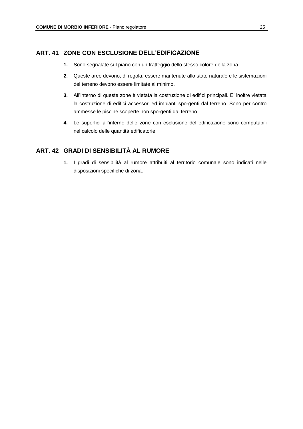#### **ART. 41 ZONE CON ESCLUSIONE DELL'EDIFICAZIONE**

- **1.** Sono segnalate sul piano con un tratteggio dello stesso colore della zona.
- **2.** Queste aree devono, di regola, essere mantenute allo stato naturale e le sistemazioni del terreno devono essere limitate al minimo.
- **3.** All'interno di queste zone è vietata la costruzione di edifici principali. E' inoltre vietata la costruzione di edifici accessori ed impianti sporgenti dal terreno. Sono per contro ammesse le piscine scoperte non sporgenti dal terreno.
- **4.** Le superfici all'interno delle zone con esclusione dell'edificazione sono computabili nel calcolo delle quantità edificatorie.

#### **ART. 42 GRADI DI SENSIBILITÀ AL RUMORE**

**1.** I gradi di sensibilità al rumore attribuiti al territorio comunale sono indicati nelle disposizioni specifiche di zona.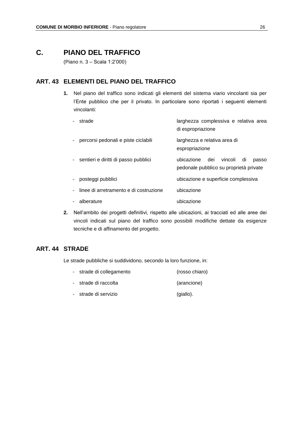# **C. PIANO DEL TRAFFICO**

(Piano n. 3 – Scala 1:2'000)

#### **ART. 43 ELEMENTI DEL PIANO DEL TRAFFICO**

**1.** Nel piano del traffico sono indicati gli elementi del sistema viario vincolanti sia per l'Ente pubblico che per il privato. In particolare sono riportati i seguenti elementi vincolanti:

| percorsi pedonali e piste ciclabili<br>larghezza e relativa area di<br>espropriazione<br>- sentieri e diritti di passo pubblici<br>ubicazione<br>dei<br>vincoli<br>di<br>pedonale pubblico su proprietà private<br>posteggi pubblici<br>ubicazione e superficie complessiva<br>linee di arretramento e di costruzione<br>ubicazione<br>$\sim$<br>ubicazione<br>alberature | strade | larghezza complessiva e relativa area<br>di espropriazione |
|---------------------------------------------------------------------------------------------------------------------------------------------------------------------------------------------------------------------------------------------------------------------------------------------------------------------------------------------------------------------------|--------|------------------------------------------------------------|
|                                                                                                                                                                                                                                                                                                                                                                           |        |                                                            |
|                                                                                                                                                                                                                                                                                                                                                                           |        | passo                                                      |
|                                                                                                                                                                                                                                                                                                                                                                           |        |                                                            |
|                                                                                                                                                                                                                                                                                                                                                                           |        |                                                            |
|                                                                                                                                                                                                                                                                                                                                                                           |        |                                                            |

**2.** Nell'ambito dei progetti definitivi, rispetto alle ubicazioni, ai tracciati ed alle aree dei vincoli indicati sul piano del traffico sono possibili modifiche dettate da esigenze tecniche e di affinamento del progetto.

# **ART. 44 STRADE**

Le strade pubbliche si suddividono, secondo la loro funzione, in:

- strade di collegamento (rosso chiaro)
- strade di raccolta (arancione)
- strade di servizio (giallo).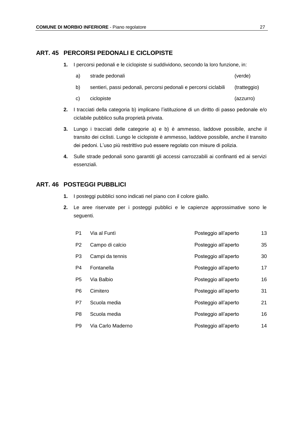#### **ART. 45 PERCORSI PEDONALI E CICLOPISTE**

- **1.** I percorsi pedonali e le ciclopiste si suddividono, secondo la loro funzione, in:
	- a) strade pedonali (verde)
	- b) sentieri, passi pedonali, percorsi pedonali e percorsi ciclabili (tratteggio)
	- c) ciclopiste (azzurro)
- **2.** I tracciati della categoria b) implicano l'istituzione di un diritto di passo pedonale e/o ciclabile pubblico sulla proprietà privata.
- **3.** Lungo i tracciati delle categorie a) e b) è ammesso, laddove possibile, anche il transito dei ciclisti. Lungo le ciclopiste è ammesso, laddove possibile, anche il transito dei pedoni. L'uso più restrittivo può essere regolato con misure di polizia.
- **4.** Sulle strade pedonali sono garantiti gli accessi carrozzabili ai confinanti ed ai servizi essenziali.

#### **ART. 46 POSTEGGI PUBBLICI**

- **1.** I posteggi pubblici sono indicati nel piano con il colore giallo.
- **2.** Le aree riservate per i posteggi pubblici e le capienze approssimative sono le seguenti.

| P1             | Via al Funtì      | Posteggio all'aperto | 13 |
|----------------|-------------------|----------------------|----|
| P <sub>2</sub> | Campo di calcio   | Posteggio all'aperto | 35 |
| P <sub>3</sub> | Campi da tennis   | Posteggio all'aperto | 30 |
| P4             | Fontanella        | Posteggio all'aperto | 17 |
| P <sub>5</sub> | Via Balbio        | Posteggio all'aperto | 16 |
| P6             | Cimitero          | Posteggio all'aperto | 31 |
| P7             | Scuola media      | Posteggio all'aperto | 21 |
| P8             | Scuola media      | Posteggio all'aperto | 16 |
| P <sub>9</sub> | Via Carlo Maderno | Posteggio all'aperto | 14 |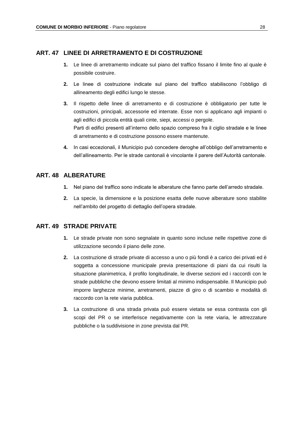#### **ART. 47 LINEE DI ARRETRAMENTO E DI COSTRUZIONE**

- **1.** Le linee di arretramento indicate sul piano del traffico fissano il limite fino al quale è possibile costruire.
- **2.** Le linee di costruzione indicate sul piano del traffico stabiliscono l'obbligo di allineamento degli edifici lungo le stesse.
- **3.** Il rispetto delle linee di arretramento e di costruzione è obbligatorio per tutte le costruzioni, principali, accessorie ed interrate. Esse non si applicano agli impianti o agli edifici di piccola entità quali cinte, siepi, accessi o pergole. Parti di edifici presenti all'interno dello spazio compreso fra il ciglio stradale e le linee di arretramento e di costruzione possono essere mantenute.
- **4.** In casi eccezionali, il Municipio può concedere deroghe all'obbligo dell'arretramento e dell'allineamento. Per le strade cantonali è vincolante il parere dell'Autorità cantonale.

#### **ART. 48 ALBERATURE**

- **1.** Nel piano del traffico sono indicate le alberature che fanno parte dell'arredo stradale.
- **2.** La specie, la dimensione e la posizione esatta delle nuove alberature sono stabilite nell'ambito del progetto di dettaglio dell'opera stradale.

#### **ART. 49 STRADE PRIVATE**

- **1.** Le strade private non sono segnalate in quanto sono incluse nelle rispettive zone di utilizzazione secondo il piano delle zone.
- **2.** La costruzione di strade private di accesso a uno o più fondi è a carico dei privati ed è soggetta a concessione municipale previa presentazione di piani da cui risulti la situazione planimetrica, il profilo longitudinale, le diverse sezioni ed i raccordi con le strade pubbliche che devono essere limitati al minimo indispensabile. Il Municipio può imporre larghezze minime, arretramenti, piazze di giro o di scambio e modalità di raccordo con la rete viaria pubblica.
- **3.** La costruzione di una strada privata può essere vietata se essa contrasta con gli scopi del PR o se interferisce negativamente con la rete viaria, le attrezzature pubbliche o la suddivisione in zone prevista dal PR.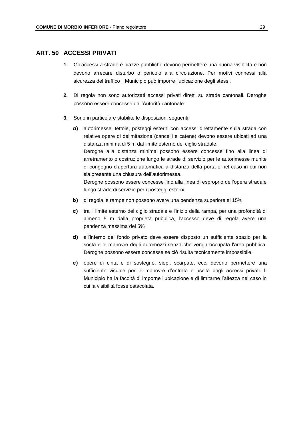#### **ART. 50 ACCESSI PRIVATI**

- **1.** Gli accessi a strade e piazze pubbliche devono permettere una buona visibilità e non devono arrecare disturbo o pericolo alla circolazione. Per motivi connessi alla sicurezza del traffico il Municipio può imporre l'ubicazione degli stessi.
- **2.** Di regola non sono autorizzati accessi privati diretti su strade cantonali. Deroghe possono essere concesse dall'Autorità cantonale.
- **3.** Sono in particolare stabilite le disposizioni seguenti:
	- **a)** autorimesse, tettoie, posteggi esterni con accessi direttamente sulla strada con relative opere di delimitazione (cancelli e catene) devono essere ubicati ad una distanza minima di 5 m dal limite esterno del ciglio stradale. Deroghe alla distanza minima possono essere concesse fino alla linea di arretramento o costruzione lungo le strade di servizio per le autorimesse munite di congegno d'apertura automatica a distanza della porta o nel caso in cui non sia presente una chiusura dell'autorimessa. Deroghe possono essere concesse fino alla linea di esproprio dell'opera stradale lungo strade di servizio per i posteggi esterni.
	- **b)** di regola le rampe non possono avere una pendenza superiore al 15%
	- **c)** tra il limite esterno del ciglio stradale e l'inizio della rampa, per una profondità di almeno 5 m dalla proprietà pubblica, l'accesso deve di regola avere una pendenza massima del 5%
	- **d)** all'interno del fondo privato deve essere disposto un sufficiente spazio per la sosta e le manovre degli automezzi senza che venga occupata l'area pubblica. Deroghe possono essere concesse se ciò risulta tecnicamente impossibile.
	- **e)** opere di cinta e di sostegno, siepi, scarpate, ecc. devono permettere una sufficiente visuale per le manovre d'entrata e uscita dagli accessi privati. Il Municipio ha la facoltà di imporne l'ubicazione e di limitarne l'altezza nel caso in cui la visibilità fosse ostacolata.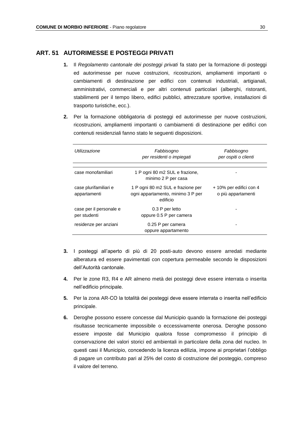#### **ART. 51 AUTORIMESSE E POSTEGGI PRIVATI**

- **1.** Il *Regolamento cantonale dei posteggi privati* fa stato per la formazione di posteggi ed autorimesse per nuove costruzioni, ricostruzioni, ampliamenti importanti o cambiamenti di destinazione per edifici con contenuti industriali, artigianali, amministrativi, commerciali e per altri contenuti particolari (alberghi, ristoranti, stabilimenti per il tempo libero, edifici pubblici, attrezzature sportive, installazioni di trasporto turistiche, ecc.).
- **2.** Per la formazione obbligatoria di posteggi ed autorimesse per nuove costruzioni, ricostruzioni, ampliamenti importanti o cambiamenti di destinazione per edifici con contenuti residenziali fanno stato le seguenti disposizioni.

| Utilizzazione                           | Fabbisogno<br>per residenti o impiegati                                            | Fabbisogno<br>per ospiti o clienti            |
|-----------------------------------------|------------------------------------------------------------------------------------|-----------------------------------------------|
| case monofamiliari                      | 1 P ogni 80 m2 SUL e frazione,<br>minimo 2 P per casa                              |                                               |
| case plurifamiliari e<br>appartamenti   | 1 P ogni 80 m2 SUL e frazione per<br>ogni appartamento, minimo 3 P per<br>edificio | + 10% per edifici con 4<br>o più appartamenti |
| case per il personale e<br>per studenti | 0.3 P per letto<br>oppure 0.5 P per camera                                         |                                               |
| residenze per anziani                   | 0.25 P per camera<br>oppure appartamento                                           |                                               |

- **3.** I posteggi all'aperto di più di 20 posti-auto devono essere arredati mediante alberatura ed essere pavimentati con copertura permeabile secondo le disposizioni dell'Autorità cantonale.
- **4.** Per le zone R3, R4 e AR almeno metà dei posteggi deve essere interrata o inserita nell'edificio principale.
- **5.** Per la zona AR-CO la totalità dei posteggi deve essere interrata o inserita nell'edificio principale.
- **6.** Deroghe possono essere concesse dal Municipio quando la formazione dei posteggi risultasse tecnicamente impossibile o eccessivamente onerosa. Deroghe possono essere imposte dal Municipio qualora fosse compromesso il principio di conservazione dei valori storici ed ambientali in particolare della zona del nucleo. In questi casi il Municipio, concedendo la licenza edilizia, impone ai proprietari l'obbligo di pagare un contributo pari al 25% del costo di costruzione del posteggio, compreso il valore del terreno.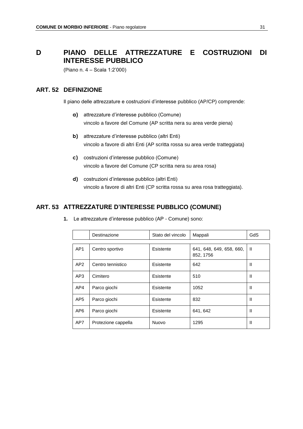# **D PIANO DELLE ATTREZZATURE E COSTRUZIONI DI INTERESSE PUBBLICO**

(Piano n. 4 – Scala 1:2'000)

#### **ART. 52 DEFINIZIONE**

Il piano delle attrezzature e costruzioni d'interesse pubblico (AP/CP) comprende:

- **a)** attrezzature d'interesse pubblico (Comune) vincolo a favore del Comune (AP scritta nera su area verde piena)
- **b)** attrezzature d'interesse pubblico (altri Enti) vincolo a favore di altri Enti (AP scritta rossa su area verde tratteggiata)
- **c)** costruzioni d'interesse pubblico (Comune) vincolo a favore del Comune (CP scritta nera su area rosa)
- **d)** costruzioni d'interesse pubblico (altri Enti) vincolo a favore di altri Enti (CP scritta rossa su area rosa tratteggiata).

#### **ART. 53 ATTREZZATURE D'INTERESSE PUBBLICO (COMUNE)**

|                 | Destinazione        | Stato del vincolo | Mappali                               | GdS          |  |
|-----------------|---------------------|-------------------|---------------------------------------|--------------|--|
|                 |                     |                   |                                       |              |  |
| AP <sub>1</sub> | Centro sportivo     | Esistente         | 641, 648, 649, 658, 660,<br>852, 1756 | $\mathbf{H}$ |  |
| AP2             | Centro tennistico   | Esistente         | 642                                   | Ш            |  |
| AP3             | Cimitero            | Esistente         | 510                                   | Ш            |  |
| AP4             | Parco giochi        | Esistente         | 1052                                  | Ш            |  |
| AP <sub>5</sub> | Parco giochi        | Esistente         | 832                                   | Ш            |  |
| AP6             | Parco giochi        | Esistente         | 641, 642                              | Ш            |  |
| AP7             | Protezione cappella | Nuovo             | 1295                                  | Ш            |  |

**1.** Le attrezzature d'interesse pubblico (AP - Comune) sono: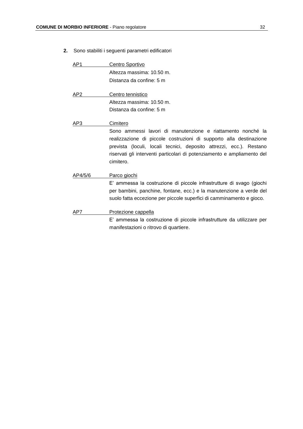### **2.** Sono stabiliti i seguenti parametri edificatori

| AP1             | Centro Sportivo                                                                                                                                                                                                                                                                                  |
|-----------------|--------------------------------------------------------------------------------------------------------------------------------------------------------------------------------------------------------------------------------------------------------------------------------------------------|
|                 | Altezza massima: 10.50 m.                                                                                                                                                                                                                                                                        |
|                 | Distanza da confine: 5 m                                                                                                                                                                                                                                                                         |
| AP <sub>2</sub> | Centro tennistico                                                                                                                                                                                                                                                                                |
|                 | Altezza massima: 10.50 m.                                                                                                                                                                                                                                                                        |
|                 | Distanza da confine: 5 m                                                                                                                                                                                                                                                                         |
| AP3             | Cimitero                                                                                                                                                                                                                                                                                         |
|                 | Sono ammessi lavori di manutenzione e riattamento nonché la<br>realizzazione di piccole costruzioni di supporto alla destinazione<br>prevista (loculi, locali tecnici, deposito attrezzi, ecc.). Restano<br>riservati gli interventi particolari di potenziamento e ampliamento del<br>cimitero. |
| AP4/5/6         | Parco giochi<br>E' ammessa la costruzione di piccole infrastrutture di svago (giochi<br>per bambini, panchine, fontane, ecc.) e la manutenzione a verde del<br>suolo fatta eccezione per piccole superfici di camminamento e gioco.                                                              |
| AP7             | Protezione cappella<br>E' ammessa la costruzione di piccole infrastrutture da utilizzare per                                                                                                                                                                                                     |
|                 | manifestazioni o ritrovo di quartiere.                                                                                                                                                                                                                                                           |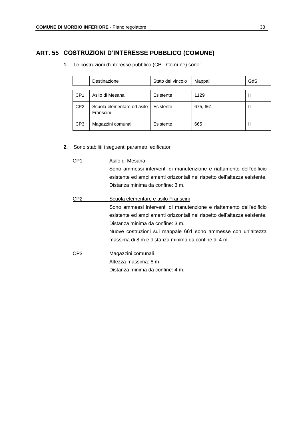# **ART. 55 COSTRUZIONI D'INTERESSE PUBBLICO (COMUNE)**

|                 | Destinazione                            | Stato del vincolo | Mappali  | GdS |
|-----------------|-----------------------------------------|-------------------|----------|-----|
| CP <sub>1</sub> | Asilo di Mesana                         | Esistente         | 1129     | Ш   |
| CP <sub>2</sub> | Scuola elementare ed asilo<br>Franscini | Esistente         | 675, 661 | Ш   |
| CP <sub>3</sub> | Magazzini comunali                      | Esistente         | 665      | Ш   |

**1.** Le costruzioni d'interesse pubblico (CP - Comune) sono:

**2.** Sono stabiliti i seguenti parametri edificatori

| CP1 | Asilo di Mesana                                                           |  |  |  |
|-----|---------------------------------------------------------------------------|--|--|--|
|     | Sono ammessi interventi di manutenzione e riattamento dell'edificio       |  |  |  |
|     | esistente ed ampliamenti orizzontali nel rispetto dell'altezza esistente. |  |  |  |
|     | Distanza minima da confine: 3 m.                                          |  |  |  |
| CP2 | Scuola elementare e asilo Franscini                                       |  |  |  |
|     | Sono ammessi interventi di manutenzione e riattamento dell'edificio       |  |  |  |
|     | esistente ed ampliamenti orizzontali nel rispetto dell'altezza esistente. |  |  |  |
|     | Distanza minima da confine: 3 m.                                          |  |  |  |
|     | Nuove costruzioni sul mappale 661 sono ammesse con un'altezza             |  |  |  |
|     | massima di 8 m e distanza minima da confine di 4 m.                       |  |  |  |
| CP3 | Magazzini comunali                                                        |  |  |  |
|     | Altezza massima: 8 m                                                      |  |  |  |
|     | Distanza minima da confine: 4 m.                                          |  |  |  |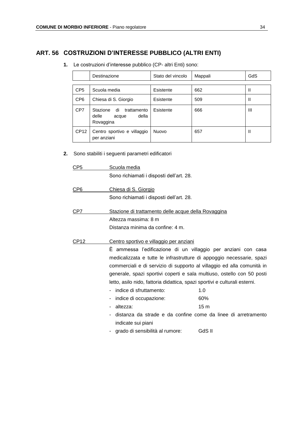#### **ART. 56 COSTRUZIONI D'INTERESSE PUBBLICO (ALTRI ENTI)**

|                 | Destinazione                                                          | Stato del vincolo | Mappali | GdS |  |
|-----------------|-----------------------------------------------------------------------|-------------------|---------|-----|--|
|                 |                                                                       |                   |         |     |  |
| CP <sub>5</sub> | Scuola media                                                          | Esistente         | 662     | Ш   |  |
| CP <sub>6</sub> | Chiesa di S. Giorgio                                                  | Esistente         | 509     | Ш   |  |
| CP7             | Stazione<br>di<br>trattamento<br>della<br>delle<br>acque<br>Rovaggina | Esistente         | 666     | Ш   |  |
| CP12            | Centro sportivo e villaggio<br>per anziani                            | <b>Nuovo</b>      | 657     | Ш   |  |

**1.** Le costruzioni d'interesse pubblico (CP- altri Enti) sono:

**2.** Sono stabiliti i seguenti parametri edificatori

CP5 Scuola media Sono richiamati i disposti dell'art. 28. CP6 Chiesa di S. Giorgio

- Sono richiamati i disposti dell'art. 28.
- CP7 Stazione di trattamento delle acque della Rovaggina Altezza massima: 8 m Distanza minima da confine: 4 m.
- CP12 Centro sportivo e villaggio per anziani

È ammessa l'edificazione di un villaggio per anziani con casa medicalizzata e tutte le infrastrutture di appoggio necessarie, spazi commerciali e di servizio di supporto al villaggio ed alla comunità in generale, spazi sportivi coperti e sala multiuso, ostello con 50 posti letto, asilo nido, fattoria didattica, spazi sportivi e culturali esterni.

- indice di sfruttamento: 1.0
- indice di occupazione: 60%
- altezza: 15 m
- distanza da strade e da confine come da linee di arretramento indicate sui piani
- grado di sensibilità al rumore: GdS II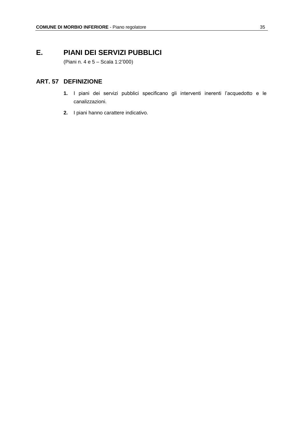# **E. PIANI DEI SERVIZI PUBBLICI**

(Piani n. 4 e 5 – Scala 1:2'000)

#### **ART. 57 DEFINIZIONE**

- **1.** I piani dei servizi pubblici specificano gli interventi inerenti l'acquedotto e le canalizzazioni.
- **2.** I piani hanno carattere indicativo.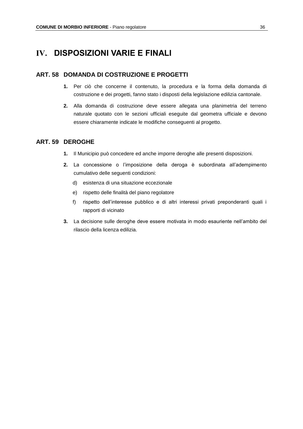# **IV. DISPOSIZIONI VARIE E FINALI**

#### **ART. 58 DOMANDA DI COSTRUZIONE E PROGETTI**

- **1.** Per ciò che concerne il contenuto, la procedura e la forma della domanda di costruzione e dei progetti, fanno stato i disposti della legislazione edilizia cantonale.
- **2.** Alla domanda di costruzione deve essere allegata una planimetria del terreno naturale quotato con le sezioni ufficiali eseguite dal geometra ufficiale e devono essere chiaramente indicate le modifiche conseguenti al progetto.

#### **ART. 59 DEROGHE**

- **1.** Il Municipio può concedere ed anche imporre deroghe alle presenti disposizioni.
- **2.** La concessione o l'imposizione della deroga è subordinata all'adempimento cumulativo delle seguenti condizioni:
	- d) esistenza di una situazione eccezionale
	- e) rispetto delle finalità del piano regolatore
	- f) rispetto dell'interesse pubblico e di altri interessi privati preponderanti quali i rapporti di vicinato
- **3.** La decisione sulle deroghe deve essere motivata in modo esauriente nell'ambito del rilascio della licenza edilizia.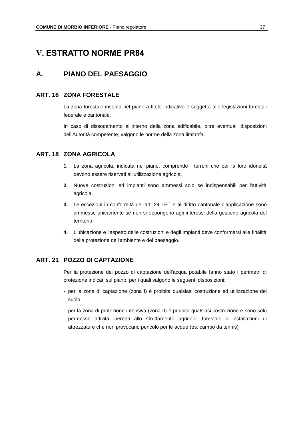# **V. ESTRATTO NORME PR84**

# **A. PIANO DEL PAESAGGIO**

#### **ART. 16 ZONA FORESTALE**

La zona forestale inserita nel piano a titolo indicativo è soggetta alle legislazioni forestali federale e cantonale.

In caso di dissodamento all'interno della zona edificabile, oltre eventuali disposizioni dell'Autorità competente, valgono le norme della zona limitrofa.

#### **ART. 18 ZONA AGRICOLA**

- **1.** La zona agricola, indicata nel piano, comprende i terreni che per la loro idoneità devono essere riservati all'utilizzazione agricola.
- **2.** Nuove costruzioni ed impianti sono ammessi solo se indispensabili per l'attività agricola.
- **3.** Le eccezioni in conformità dell'art. 24 LPT e al diritto cantonale d'applicazione sono ammesse unicamente se non si oppongono agli interessi della gestione agricola del territorio.
- **4.** L'ubicazione e l'aspetto delle costruzioni e degli impianti deve conformarsi alle finalità della protezione dell'ambiente e del paesaggio.

#### **ART. 21 POZZO DI CAPTAZIONE**

Per la protezione del pozzo di captazione dell'acqua potabile fanno stato i perimetri di protezione indicati sul piano, per i quali valgono le seguenti disposizioni:

- per la zona di captazione (zona I) è proibita qualsiasi costruzione ed utilizzazione del suolo
- per la zona di protezione intensiva (zona II) è proibita qualsiasi costruzione e sono solo permesse attività inerenti allo sfruttamento agricolo, forestale o installazioni di attrezzature che non provocano pericolo per le acque (es. campo da tennis)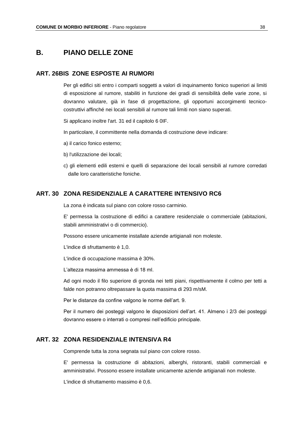# **B. PIANO DELLE ZONE**

#### **ART. 26BIS ZONE ESPOSTE AI RUMORI**

Per gli edifici siti entro i comparti soggetti a valori di inquinamento fonico superiori ai limiti di esposizione al rumore, stabiliti in funzione dei gradi di sensibilità delle varie zone, si dovranno valutare, già in fase di progettazione, gli opportuni accorgimenti tecnicocostruttivi affinché nei locali sensibili al rumore tali limiti non siano superati.

Si applicano inoltre l'art. 31 ed il capitolo 6 0IF.

In particolare, il committente nella domanda di costruzione deve indicare:

- a) il carico fonico esterno;
- b) l'utilizzazione dei locali;
- c) gli elementi edili esterni e quelli di separazione dei locali sensibili al rumore corredati dalle loro caratteristiche foniche.

#### **ART. 30 ZONA RESIDENZIALE A CARATTERE INTENSIVO RC6**

La zona è indicata sul piano con colore rosso carminio.

E' permessa la costruzione di edifici a carattere residenziale o commerciale (abitazioni, stabili amministrativi o di commercio).

Possono essere unicamente installate aziende artigianali non moleste.

L'indice di sfruttamento è 1,0.

L'indice di occupazione massima è 30%.

L'altezza massima ammessa è di 18 ml.

Ad ogni modo il filo superiore di gronda nei tetti piani, rispettivamente il colmo per tetti a falde non potranno oltrepassare la quota massima di 293 m/sM.

Per le distanze da confine valgono le norme dell'art. 9.

Per il numero dei posteggi valgono le disposizioni dell'art. 41. Almeno i 2/3 dei posteggi dovranno essere o interrati o compresi nell'edificio principale.

#### **ART. 32 ZONA RESIDENZIALE INTENSIVA R4**

Comprende tutta la zona segnata sul piano con colore rosso.

E' permessa la costruzione di abitazioni, alberghi, ristoranti, stabili commerciali e amministrativi. Possono essere installate unicamente aziende artigianali non moleste.

L'indice di sfruttamento massimo è 0,6.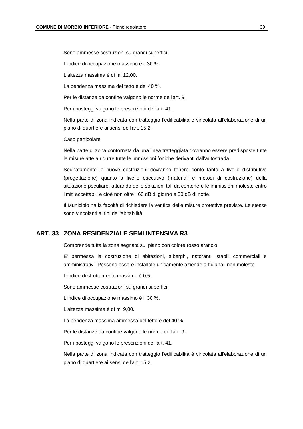Sono ammesse costruzioni su grandi superfici.

L'indice di occupazione massimo è il 30 %.

L'altezza massima è di ml 12,00.

La pendenza massima del tetto è del 40 %.

Per le distanze da confine valgono le norme dell'art. 9.

Per i posteggi valgono le prescrizioni dell'art. 41.

Nella parte di zona indicata con tratteggio l'edificabilità è vincolata all'elaborazione di un piano di quartiere ai sensi dell'art. 15.2.

#### Caso particolare

Nella parte di zona contornata da una linea tratteggiata dovranno essere predisposte tutte le misure atte a ridurre tutte le immissioni foniche derivanti dall'autostrada.

Segnatamente le nuove costruzioni dovranno tenere conto tanto a livello distributivo (progettazione) quanto a livello esecutivo (materiali e metodi di costruzione) della situazione peculiare, attuando delle soluzioni tali da contenere le immissioni moleste entro limiti accettabili e cioè non oltre i 60 dB di giorno e 50 dB di notte.

Il Municipio ha la facoltà di richiedere la verifica delle misure protettive previste. Le stesse sono vincolanti ai fini dell'abitabilità.

#### **ART. 33 ZONA RESIDENZIALE SEMI INTENSIVA R3**

Comprende tutta la zona segnata sul piano con colore rosso arancio.

E' permessa la costruzione di abitazioni, alberghi, ristoranti, stabili commerciali e amministrativi. Possono essere installate unicamente aziende artigianali non moleste.

L'indice di sfruttamento massimo è 0,5.

Sono ammesse costruzioni su grandi superfici.

L'indice di occupazione massimo è il 30 %.

L'altezza massima è di ml 9,00.

La pendenza massima ammessa del tetto è del 40 %.

Per le distanze da confine valgono le norme dell'art. 9.

Per i posteggi valgono le prescrizioni dell'art. 41.

Nella parte di zona indicata con tratteggio l'edificabilità è vincolata all'elaborazione di un piano di quartiere ai sensi dell'art. 15.2.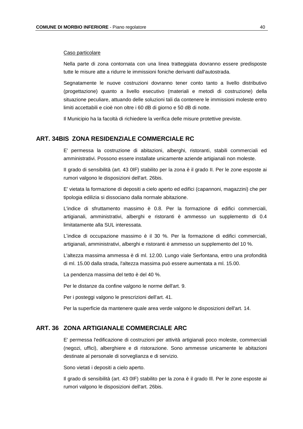#### Caso particolare

Nella parte di zona contornata con una linea tratteggiata dovranno essere predisposte tutte le misure atte a ridurre le immissioni foniche derivanti dall'autostrada.

Segnatamente le nuove costruzioni dovranno tener conto tanto a livello distributivo (progettazione) quanto a livello esecutivo (materiali e metodi di costruzione) della situazione peculiare, attuando delle soluzioni tali da contenere le immissioni moleste entro limiti accettabili e cioè non oltre i 60 dB di giorno e 50 dB di notte.

Il Municipio ha la facoltà di richiedere la verifica delle misure protettive previste.

#### **ART. 34BIS ZONA RESIDENZIALE COMMERCIALE RC**

E' permessa la costruzione di abitazioni, alberghi, ristoranti, stabili commerciali ed amministrativi. Possono essere installate unicamente aziende artigianali non moleste.

II grado di sensibilità (art. 43 0IF) stabilito per la zona è il grado II. Per le zone esposte ai rumori valgono le disposizioni dell'art. 26bis.

E' vietata la formazione di depositi a cielo aperto ed edifici (capannoni, magazzini) che per tipologia edilizia si dissociano dalla normale abitazione.

L'indice di sfruttamento massimo è 0.8. Per la formazione di edifici commerciali, artigianali, amministrativi, alberghi e ristoranti è ammesso un supplemento di 0.4 limitatamente alla SUL interessata.

L'indice di occupazione massimo è il 30 %. Per la formazione di edifici commerciali, artigianali, amministrativi, alberghi e ristoranti è ammesso un supplemento del 10 %.

L'altezza massima ammessa è di ml. 12.00. Lungo viale Serfontana, entro una profondità di ml. 15.00 dalla strada, l'altezza massima può essere aumentata a ml. 15.00.

La pendenza massima del tetto è del 40 %.

Per le distanze da confine valgono le norme dell'art. 9.

Per i posteggi valgono le prescrizioni dell'art. 41.

Per la superficie da mantenere quale area verde valgono le disposizioni dell'art. 14.

#### **ART. 36 ZONA ARTIGIANALE COMMERCIALE ARC**

E' permessa l'edificazione di costruzioni per attività artigianali poco moleste, commerciali (negozi, uffici), alberghiere e di ristorazione. Sono ammesse unicamente le abitazioni destinate al personale di sorveglianza e di servizio.

Sono vietati i depositi a cielo aperto.

Il grado di sensibilità (art. 43 0IF) stabilito per la zona è il grado Ill. Per le zone esposte ai rumori valgono le disposizioni dell'art. 26bis.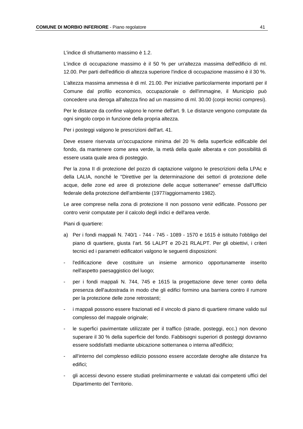L'indice dì sfruttamento massimo è 1.2.

L'indice di occupazione massimo è il 50 % per un'altezza massima dell'edificio di ml. 12.00. Per parti dell'edificio di altezza superiore l'indice di occupazione massimo è il 30 %.

L'altezza massima ammessa è di ml. 21.00. Per iniziative particolarmente importanti per il Comune dal profilo economico, occupazionale o dell'immagine, il Municipio può concedere una deroga all'altezza fino ad un massimo di ml. 30.00 (corpi tecnici compresi).

Per le distanze da confine valgono le norme dell'art. 9. Le distanze vengono computate da ogni singolo corpo in funzione della propria altezza.

Per i posteggi valgono le prescrizioni dell'art. 41.

Deve essere riservata un'occupazione minima del 20 % della superficie edificabile del fondo, da mantenere come area verde, la metà della quale alberata e con possibilità di essere usata quale area di posteggio.

Per la zona II di protezione del pozzo di captazione valgono le prescrizioni della LPAc e della LALIA, nonché le "Direttive per la determinazione dei settori di protezione delle acque, delle zone ed aree di protezione delle acque sotterranee" emesse dall'Ufficio federale della protezione dell'ambiente (1977/aggiornamento 1982).

Le aree comprese nella zona di protezione II non possono venir edificate. Possono per contro venir computate per il calcolo degli indici e dell'area verde.

Piani di quartiere:

- a) Per i fondi mappali N. 740/1 744 745 1089 1570 e 1615 è istituito l'obbligo del piano di quartiere, giusta I'art. 56 LALPT e 20-21 RLALPT. Per gli obiettivi, i criteri tecnici ed i parametri edificatori valgono le seguenti disposizioni:
- l'edificazione deve costituire un insieme armonico opportunamente inserito nell'aspetto paesaggistico del luogo;
- per i fondi mappali N. 744, 745 e 1615 la progettazione deve tener conto della presenza dell'autostrada in modo che gli edifici formino una barriera contro il rumore per la protezione delle zone retrostanti;
- i mappali possono essere frazionati ed il vincolo di piano di quartiere rimane valido sul complesso del mappale originale;
- le superfici pavimentate utilizzate per il traffico (strade, posteggi, ecc.) non devono superare il 30 % della superficie del fondo. Fabbisogni superiori di posteggi dovranno essere soddisfatti mediante ubicazione sotterranea o interna all'edificio;
- all'interno del complesso edilizio possono essere accordate deroghe alle distanze fra edifici;
- gli accessi devono essere studiati preliminarmente e valutati dai competenti uffici del Dipartimento del Territorio.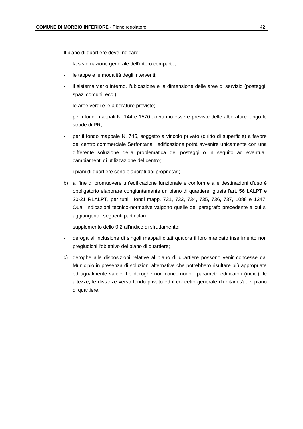Il piano di quartiere deve indicare:

- la sistemazione generale dell'intero comparto;
- le tappe e le modalità degli interventi;
- il sistema viario interno, l'ubicazione e la dimensione delle aree di servizio (posteggi, spazi comuni, ecc.);
- le aree verdi e le alberature previste;
- per i fondi mappali N. 144 e 1570 dovranno essere previste delle alberature lungo le strade di PR;
- per il fondo mappale N. 745, soggetto a vincolo privato (diritto di superficie) a favore del centro commerciale Serfontana, l'edificazione potrà avvenire unicamente con una differente soluzione della problematica dei posteggi o in seguito ad eventuali cambiamenti di utilizzazione del centro;
- i piani di quartiere sono elaborati dai proprietari;
- b) al fine di promuovere un'edificazione funzionale e conforme alle destinazioni d'uso è obbligatorio elaborare congiuntamente un piano di quartiere, giusta l'art. 56 LALPT e 20-21 RLALPT, per tutti i fondi mapp. 731, 732, 734, 735, 736, 737, 1088 e 1247. Quali indicazioni tecnico-normative valgono quelle del paragrafo precedente a cui si aggiungono i seguenti particolari:
- supplemento dello 0.2 all'indice di sfruttamento;
- deroga all'inclusione di singoli mappali citati qualora il loro mancato inserimento non pregiudichi l'obiettivo del piano di quartiere;
- c) deroghe alle disposizioni relative al piano di quartiere possono venir concesse dal Municipio in presenza di soluzioni alternative che potrebbero risultare più appropriate ed ugualmente valide. Le deroghe non concernono i parametri edificatori (indici), le altezze, le distanze verso fondo privato ed il concetto generale d'unitarietà del piano di quartiere.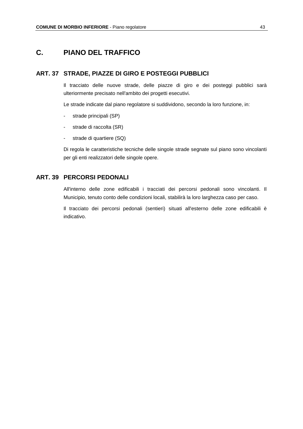# **C. PIANO DEL TRAFFICO**

#### **ART. 37 STRADE, PIAZZE DI GIRO E POSTEGGI PUBBLICI**

Il tracciato delle nuove strade, delle piazze di giro e dei posteggi pubblici sarà ulteriormente precisato nell'ambito dei progetti esecutivi.

Le strade indicate dal piano regolatore si suddividono, secondo la loro funzione, in:

- strade principali (SP)
- strade di raccolta (SR)
- strade di quartiere (SQ)

Di regola le caratteristiche tecniche delle singole strade segnate sul piano sono vincolanti per gli enti realizzatori delle singole opere.

#### **ART. 39 PERCORSI PEDONALI**

All'interno delle zone edificabili i tracciati dei percorsi pedonali sono vincolanti. Il Municipio, tenuto conto delle condizioni locali, stabilirà la loro larghezza caso per caso.

Il tracciato dei percorsi pedonali (sentieri) situati all'esterno delle zone edificabili è indicativo.